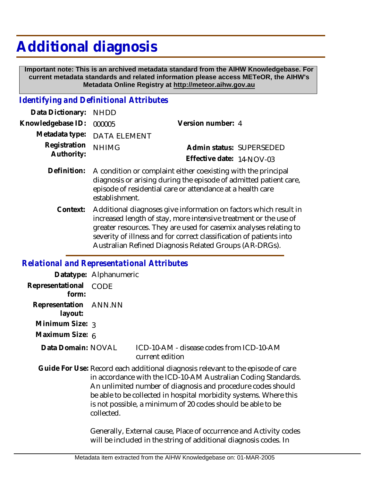# **Additional diagnosis**

 **Important note: This is an archived metadata standard from the AIHW Knowledgebase. For current metadata standards and related information please access METeOR, the AIHW's Metadata Online Registry at http://meteor.aihw.gov.au**

## *Identifying and Definitional Attributes*

| Data Dictionary: NHDD            |                             |                           |  |
|----------------------------------|-----------------------------|---------------------------|--|
| Knowledgebase ID: 000005         |                             | Version number: 4         |  |
|                                  | Metadata type: DATA ELEMENT |                           |  |
| Registration NHIMG<br>Authority: |                             | Admin status: SUPERSEDED  |  |
|                                  |                             | Effective date: 14-NOV-03 |  |
|                                  |                             |                           |  |

- Definition: A condition or complaint either coexisting with the principal diagnosis or arising during the episode of admitted patient care, episode of residential care or attendance at a health care establishment.
	- Context: Additional diagnoses give information on factors which result in increased length of stay, more intensive treatment or the use of greater resources. They are used for casemix analyses relating to severity of illness and for correct classification of patients into Australian Refined Diagnosis Related Groups (AR-DRGs).

#### *Relational and Representational Attributes*

|                                  | Datatype: Alphanumeric                                                                                                                                                                                                                                                                                                                                            |                                                                                                                                       |
|----------------------------------|-------------------------------------------------------------------------------------------------------------------------------------------------------------------------------------------------------------------------------------------------------------------------------------------------------------------------------------------------------------------|---------------------------------------------------------------------------------------------------------------------------------------|
| Representational<br>form:        | CODE                                                                                                                                                                                                                                                                                                                                                              |                                                                                                                                       |
| Representation ANN.NN<br>layout: |                                                                                                                                                                                                                                                                                                                                                                   |                                                                                                                                       |
| Minimum Size: 3                  |                                                                                                                                                                                                                                                                                                                                                                   |                                                                                                                                       |
| Maximum Size: 6                  |                                                                                                                                                                                                                                                                                                                                                                   |                                                                                                                                       |
| Data Domain: NOVAL               |                                                                                                                                                                                                                                                                                                                                                                   | ICD-10-AM - disease codes from ICD-10-AM<br>current edition                                                                           |
|                                  | Guide For Use: Record each additional diagnosis relevant to the episode of care<br>in accordance with the ICD-10-AM Australian Coding Standards.<br>An unlimited number of diagnosis and procedure codes should<br>be able to be collected in hospital morbidity systems. Where this<br>is not possible, a minimum of 20 codes should be able to be<br>collected. |                                                                                                                                       |
|                                  |                                                                                                                                                                                                                                                                                                                                                                   | Generally, External cause, Place of occurrence and Activity codes<br>will be included in the string of additional diagnosis codes. In |